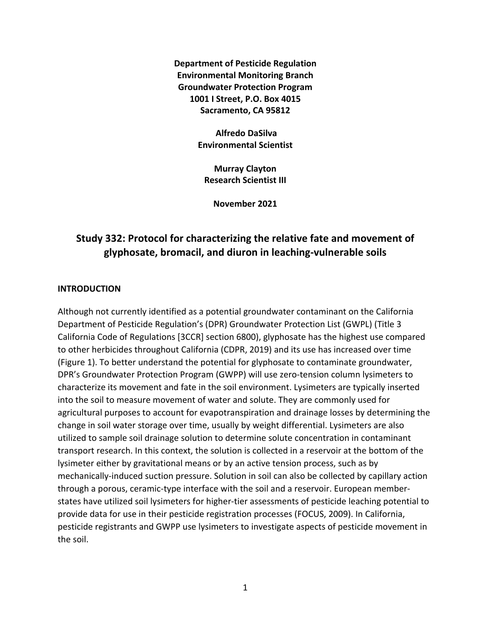**Department of Pesticide Regulation Environmental Monitoring Branch Groundwater Protection Program 1001 I Street, P.O. Box 4015 Sacramento, CA 95812** 

> **Alfredo DaSilva Environmental Scientist**

**Murray Clayton Research Scientist III** 

**November 2021** 

# **Study 332: Protocol for characterizing the relative fate and movement of glyphosate, bromacil, and diuron in leaching-vulnerable soils**

#### **INTRODUCTION**

Although not currently identified as a potential groundwater contaminant on the California Department of Pesticide Regulation's (DPR) Groundwater Protection List (GWPL) (Title 3 California Code of Regulations [3CCR] section 6800), glyphosate has the highest use compared to other herbicides throughout California (CDPR, 2019) and its use has increased over time (Figure 1). To better understand the potential for glyphosate to contaminate groundwater, DPR's Groundwater Protection Program (GWPP) will use zero-tension column lysimeters to characterize its movement and fate in the soil environment. Lysimeters are typically inserted into the soil to measure movement of water and solute. They are commonly used for agricultural purposes to account for evapotranspiration and drainage losses by determining the change in soil water storage over time, usually by weight differential. Lysimeters are also utilized to sample soil drainage solution to determine solute concentration in contaminant transport research. In this context, the solution is collected in a reservoir at the bottom of the lysimeter either by gravitational means or by an active tension process, such as by mechanically-induced suction pressure. Solution in soil can also be collected by capillary action through a porous, ceramic-type interface with the soil and a reservoir. European memberstates have utilized soil lysimeters for higher-tier assessments of pesticide leaching potential to provide data for use in their pesticide registration processes (FOCUS, 2009). In California, pesticide registrants and GWPP use lysimeters to investigate aspects of pesticide movement in the soil.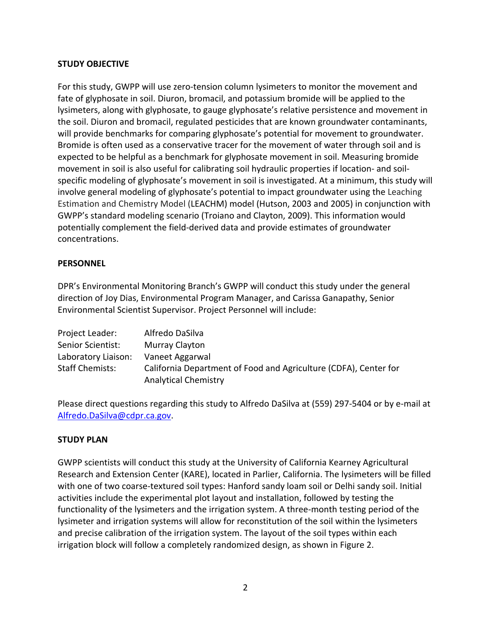### **STUDY OBJECTIVE**

For this study, GWPP will use zero-tension column lysimeters to monitor the movement and fate of glyphosate in soil. Diuron, bromacil, and potassium bromide will be applied to the lysimeters, along with glyphosate, to gauge glyphosate's relative persistence and movement in the soil. Diuron and bromacil, regulated pesticides that are known groundwater contaminants, will provide benchmarks for comparing glyphosate's potential for movement to groundwater. Bromide is often used as a conservative tracer for the movement of water through soil and is expected to be helpful as a benchmark for glyphosate movement in soil. Measuring bromide movement in soil is also useful for calibrating soil hydraulic properties if location- and soilspecific modeling of glyphosate's movement in soil is investigated. At a minimum, this study will involve general modeling of glyphosate's potential to impact groundwater using the Leaching Estimation and Chemistry Model (LEACHM) model (Hutson, 2003 and 2005) in conjunction with GWPP's standard modeling scenario (Troiano and Clayton, 2009). This information would potentially complement the field-derived data and provide estimates of groundwater concentrations.

### **PERSONNEL**

DPR's Environmental Monitoring Branch's GWPP will conduct this study under the general direction of Joy Dias, Environmental Program Manager, and Carissa Ganapathy, Senior Environmental Scientist Supervisor. Project Personnel will include:

| Project Leader:        | Alfredo DaSilva                                                                                 |
|------------------------|-------------------------------------------------------------------------------------------------|
| Senior Scientist:      | Murray Clayton                                                                                  |
| Laboratory Liaison:    | Vaneet Aggarwal                                                                                 |
| <b>Staff Chemists:</b> | California Department of Food and Agriculture (CDFA), Center for<br><b>Analytical Chemistry</b> |

Please direct questions regarding this study to Alfredo DaSilva at (559) 297-5404 or by e-mail at [Alfredo.DaSilva@cdpr.ca.gov.](mailto:Alfredo.DaSilva@cdpr.ca.gov)

## **STUDY PLAN**

GWPP scientists will conduct this study at the University of California Kearney Agricultural Research and Extension Center (KARE), located in Parlier, California. The lysimeters will be filled with one of two coarse-textured soil types: Hanford sandy loam soil or Delhi sandy soil. Initial activities include the experimental plot layout and installation, followed by testing the functionality of the lysimeters and the irrigation system. A three-month testing period of the lysimeter and irrigation systems will allow for reconstitution of the soil within the lysimeters and precise calibration of the irrigation system. The layout of the soil types within each irrigation block will follow a completely randomized design, as shown in Figure 2.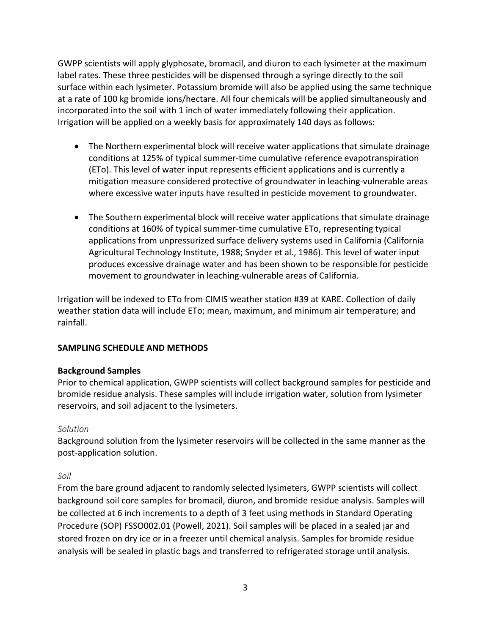GWPP scientists will apply glyphosate, bromacil, and diuron to each lysimeter at the maximum label rates. These three pesticides will be dispensed through a syringe directly to the soil surface within each lysimeter. Potassium bromide will also be applied using the same technique at a rate of 100 kg bromide ions/hectare. All four chemicals will be applied simultaneously and incorporated into the soil with 1 inch of water immediately following their application. Irrigation will be applied on a weekly basis for approximately 140 days as follows:

- The Northern experimental block will receive water applications that simulate drainage conditions at 125% of typical summer-time cumulative reference evapotranspiration (ETo). This level of water input represents efficient applications and is currently a mitigation measure considered protective of groundwater in leaching-vulnerable areas where excessive water inputs have resulted in pesticide movement to groundwater.
- The Southern experimental block will receive water applications that simulate drainage conditions at 160% of typical summer-time cumulative ETo, representing typical applications from unpressurized surface delivery systems used in California (California Agricultural Technology Institute, 1988; Snyder et al., 1986). This level of water input produces excessive drainage water and has been shown to be responsible for pesticide movement to groundwater in leaching-vulnerable areas of California.

Irrigation will be indexed to ETo from CIMIS weather station #39 at KARE. Collection of daily weather station data will include ETo; mean, maximum, and minimum air temperature; and rainfall.

## **SAMPLING SCHEDULE AND METHODS**

### **Background Samples**

Prior to chemical application, GWPP scientists will collect background samples for pesticide and bromide residue analysis. These samples will include irrigation water, solution from lysimeter reservoirs, and soil adjacent to the lysimeters.

### *Solution*

Background solution from the lysimeter reservoirs will be collected in the same manner as the post-application solution.

### *Soil*

From the bare ground adjacent to randomly selected lysimeters, GWPP scientists will collect background soil core samples for bromacil, diuron, and bromide residue analysis. Samples will be collected at 6 inch increments to a depth of 3 feet using methods in Standard Operating Procedure (SOP) FSSO002.01 (Powell, 2021). Soil samples will be placed in a sealed jar and stored frozen on dry ice or in a freezer until chemical analysis. Samples for bromide residue analysis will be sealed in plastic bags and transferred to refrigerated storage until analysis.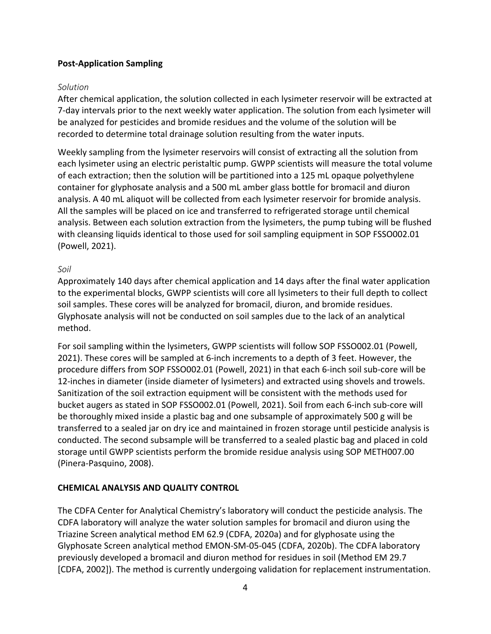### **Post-Application Sampling**

### *Solution*

After chemical application, the solution collected in each lysimeter reservoir will be extracted at 7-day intervals prior to the next weekly water application. The solution from each lysimeter will be analyzed for pesticides and bromide residues and the volume of the solution will be recorded to determine total drainage solution resulting from the water inputs.

Weekly sampling from the lysimeter reservoirs will consist of extracting all the solution from each lysimeter using an electric peristaltic pump. GWPP scientists will measure the total volume of each extraction; then the solution will be partitioned into a 125 mL opaque polyethylene container for glyphosate analysis and a 500 mL amber glass bottle for bromacil and diuron analysis. A 40 mL aliquot will be collected from each lysimeter reservoir for bromide analysis. All the samples will be placed on ice and transferred to refrigerated storage until chemical analysis. Between each solution extraction from the lysimeters, the pump tubing will be flushed with cleansing liquids identical to those used for soil sampling equipment in SOP FSSO002.01 (Powell, 2021).

### *Soil*

Approximately 140 days after chemical application and 14 days after the final water application to the experimental blocks, GWPP scientists will core all lysimeters to their full depth to collect soil samples. These cores will be analyzed for bromacil, diuron, and bromide residues. Glyphosate analysis will not be conducted on soil samples due to the lack of an analytical method.

For soil sampling within the lysimeters, GWPP scientists will follow SOP FSSO002.01 (Powell, 2021). These cores will be sampled at 6-inch increments to a depth of 3 feet. However, the procedure differs from SOP FSSO002.01 (Powell, 2021) in that each 6-inch soil sub-core will be 12-inches in diameter (inside diameter of lysimeters) and extracted using shovels and trowels. Sanitization of the soil extraction equipment will be consistent with the methods used for bucket augers as stated in SOP FSSO002.01 (Powell, 2021). Soil from each 6-inch sub-core will be thoroughly mixed inside a plastic bag and one subsample of approximately 500 g will be transferred to a sealed jar on dry ice and maintained in frozen storage until pesticide analysis is conducted. The second subsample will be transferred to a sealed plastic bag and placed in cold storage until GWPP scientists perform the bromide residue analysis using SOP METH007.00 (Pinera-Pasquino, 2008).

### **CHEMICAL ANALYSIS AND QUALITY CONTROL**

The CDFA Center for Analytical Chemistry's laboratory will conduct the pesticide analysis. The CDFA laboratory will analyze the water solution samples for bromacil and diuron using the Triazine Screen analytical method EM 62.9 (CDFA, 2020a) and for glyphosate using the Glyphosate Screen analytical method EMON-SM-05-045 (CDFA, 2020b). The CDFA laboratory previously developed a bromacil and diuron method for residues in soil (Method EM 29.7 [CDFA, 2002]). The method is currently undergoing validation for replacement instrumentation.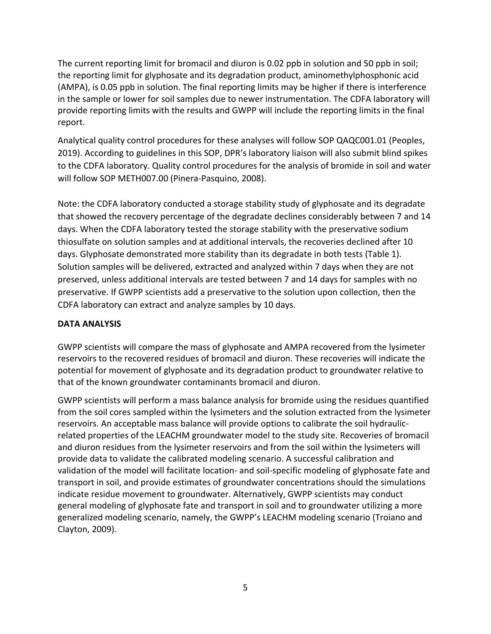The current reporting limit for bromacil and diuron is 0.02 ppb in solution and 50 ppb in soil; the reporting limit for glyphosate and its degradation product, aminomethylphosphonic acid (AMPA), is 0.05 ppb in solution. The final reporting limits may be higher if there is interference in the sample or lower for soil samples due to newer instrumentation. The CDFA laboratory will provide reporting limits with the results and GWPP will include the reporting limits in the final report.

Analytical quality control procedures for these analyses will follow SOP QAQC001.01 (Peoples, 2019). According to guidelines in this SOP, DPR's laboratory liaison will also submit blind spikes to the CDFA laboratory. Quality control procedures for the analysis of bromide in soil and water will follow SOP METH007.00 (Pinera-Pasquino, 2008).

Note: the CDFA laboratory conducted a storage stability study of glyphosate and its degradate that showed the recovery percentage of the degradate declines considerably between 7 and 14 days. When the CDFA laboratory tested the storage stability with the preservative sodium thiosulfate on solution samples and at additional intervals, the recoveries declined after 10 days. Glyphosate demonstrated more stability than its degradate in both tests (Table 1). Solution samples will be delivered, extracted and analyzed within 7 days when they are not preserved, unless additional intervals are tested between 7 and 14 days for samples with no preservative. If GWPP scientists add a preservative to the solution upon collection, then the CDFA laboratory can extract and analyze samples by 10 days.

## **DATA ANALYSIS**

GWPP scientists will compare the mass of glyphosate and AMPA recovered from the lysimeter reservoirs to the recovered residues of bromacil and diuron. These recoveries will indicate the potential for movement of glyphosate and its degradation product to groundwater relative to that of the known groundwater contaminants bromacil and diuron.

GWPP scientists will perform a mass balance analysis for bromide using the residues quantified from the soil cores sampled within the lysimeters and the solution extracted from the lysimeter reservoirs. An acceptable mass balance will provide options to calibrate the soil hydraulicrelated properties of the LEACHM groundwater model to the study site. Recoveries of bromacil and diuron residues from the lysimeter reservoirs and from the soil within the lysimeters will provide data to validate the calibrated modeling scenario. A successful calibration and validation of the model will facilitate location- and soil-specific modeling of glyphosate fate and transport in soil, and provide estimates of groundwater concentrations should the simulations indicate residue movement to groundwater. Alternatively, GWPP scientists may conduct general modeling of glyphosate fate and transport in soil and to groundwater utilizing a more generalized modeling scenario, namely, the GWPP's LEACHM modeling scenario (Troiano and Clayton, 2009).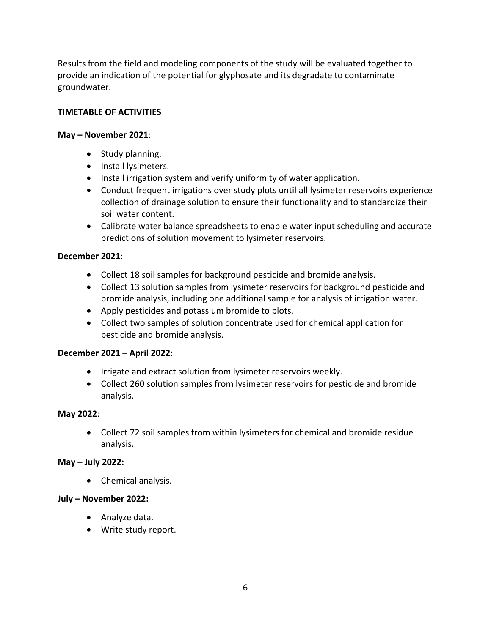Results from the field and modeling components of the study will be evaluated together to provide an indication of the potential for glyphosate and its degradate to contaminate groundwater.

### **TIMETABLE OF ACTIVITIES**

### **May – November 2021**:

- Study planning.
- Install lysimeters.
- Install irrigation system and verify uniformity of water application.
- Conduct frequent irrigations over study plots until all lysimeter reservoirs experience collection of drainage solution to ensure their functionality and to standardize their soil water content.
- Calibrate water balance spreadsheets to enable water input scheduling and accurate predictions of solution movement to lysimeter reservoirs.

### **December 2021**:

- Collect 18 soil samples for background pesticide and bromide analysis.
- Collect 13 solution samples from lysimeter reservoirs for background pesticide and bromide analysis, including one additional sample for analysis of irrigation water.
- Apply pesticides and potassium bromide to plots.
- Collect two samples of solution concentrate used for chemical application for pesticide and bromide analysis.

### **December 2021 – April 2022**:

- Irrigate and extract solution from lysimeter reservoirs weekly.
- Collect 260 solution samples from lysimeter reservoirs for pesticide and bromide analysis.

### **May 2022**:

• Collect 72 soil samples from within lysimeters for chemical and bromide residue analysis.

### **May – July 2022:**

• Chemical analysis.

### **July – November 2022:**

- Analyze data.
- Write study report.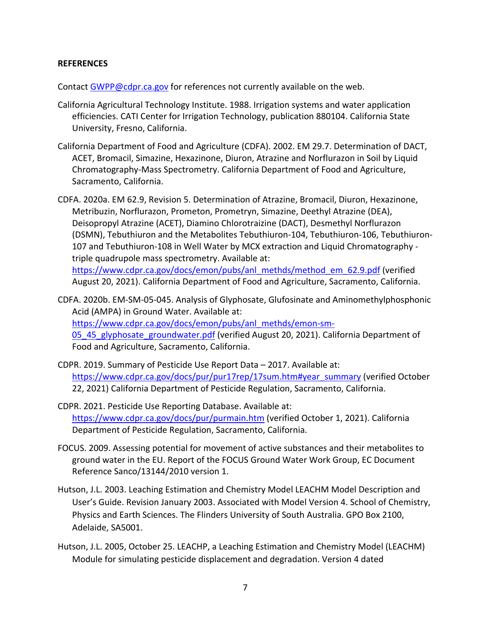### **REFERENCES**

Contact [GWPP@cdpr.ca.gov](mailto:GWPP@cdpr.ca.gov) for references not currently available on the web.

- California Agricultural Technology Institute. 1988. Irrigation systems and water application efficiencies. CATI Center for Irrigation Technology, publication 880104. California State University, Fresno, California.
- California Department of Food and Agriculture (CDFA). 2002. EM 29.7. Determination of DACT, ACET, Bromacil, Simazine, Hexazinone, Diuron, Atrazine and Norflurazon in Soil by Liquid Chromatography-Mass Spectrometry. California Department of Food and Agriculture, Sacramento, California.
- CDFA. 2020a. EM 62.9, Revision 5. Determination of Atrazine, Bromacil, Diuron, Hexazinone, Metribuzin, Norflurazon, Prometon, Prometryn, Simazine, Deethyl Atrazine (DEA), Deisopropyl Atrazine (ACET), Diamino Chlorotraizine (DACT), Desmethyl Norflurazon (DSMN), Tebuthiuron and the Metabolites Tebuthiuron-104, Tebuthiuron-106, Tebuthiuron-107 and Tebuthiuron-108 in Well Water by MCX extraction and Liquid Chromatography triple quadrupole mass spectrometry. Available at:

[https://www.cdpr.ca.gov/docs/emon/pubs/anl\\_methds/method\\_em\\_62.9.pdf \(](https://www.cdpr.ca.gov/docs/emon/pubs/anl_methds/method_em_62.9.pdf)verified August 20, 2021). California Department of Food and Agriculture, Sacramento, California.

- CDFA. 2020b. EM-SM-05-045. Analysis of Glyphosate, Glufosinate and Aminomethylphosphonic Acid (AMPA) in Ground Water. Available at: [https://www.cdpr.ca.gov/docs/emon/pubs/anl\\_methds/emon-sm-](https://www.cdpr.ca.gov/docs/emon/pubs/anl_methds/emon-sm-05_45_glyphosate_groundwater.pdf)[05\\_45\\_glyphosate\\_groundwater.pdf](https://www.cdpr.ca.gov/docs/emon/pubs/anl_methds/emon-sm-05_45_glyphosate_groundwater.pdf) (verified August 20, 2021). California Department of Food and Agriculture, Sacramento, California.
- CDPR. 2019. Summary of Pesticide Use Report Data 2017. Available at: [https://www.cdpr.ca.gov/docs/pur/pur17rep/17sum.htm#year\\_summary](https://www.cdpr.ca.gov/docs/pur/pur17rep/17sum.htm#year_summary) (verified October 22, 2021) California Department of Pesticide Regulation, Sacramento, California.
- CDPR. 2021. Pesticide Use Reporting Database. Available at: <https://www.cdpr.ca.gov/docs/pur/purmain.htm>(verified October 1, 2021). California Department of Pesticide Regulation, Sacramento, California.
- FOCUS. 2009. Assessing potential for movement of active substances and their metabolites to ground water in the EU. Report of the FOCUS Ground Water Work Group, EC Document Reference Sanco/13144/2010 version 1.
- Hutson, J.L. 2003. Leaching Estimation and Chemistry Model LEACHM Model Description and User's Guide. Revision January 2003. Associated with Model Version 4. School of Chemistry, Physics and Earth Sciences. The Flinders University of South Australia. GPO Box 2100, Adelaide, SA5001.
- Hutson, J.L. 2005, October 25. LEACHP, a Leaching Estimation and Chemistry Model (LEACHM) Module for simulating pesticide displacement and degradation. Version 4 dated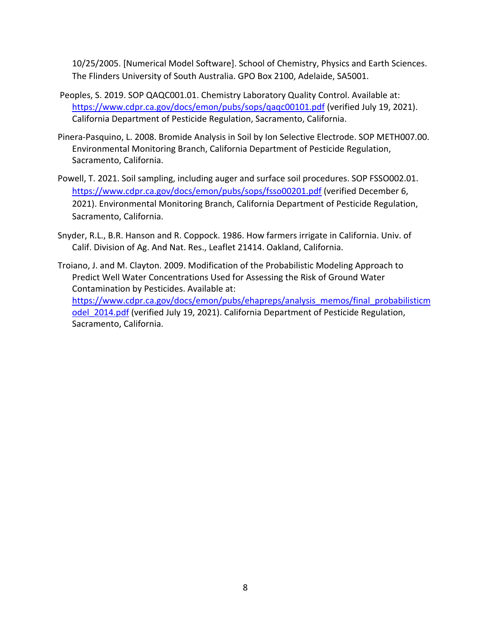10/25/2005. [Numerical Model Software]. School of Chemistry, Physics and Earth Sciences. The Flinders University of South Australia. GPO Box 2100, Adelaide, SA5001.

- Peoples, S. 2019. SOP QAQC001.01. Chemistry Laboratory Quality Control. Available at: [https://www.cdpr.ca.gov/docs/emon/pubs/sops/qaqc00101.pdf \(](https://www.cdpr.ca.gov/docs/emon/pubs/sops/qaqc00101.pdf)verified July 19, 2021). California Department of Pesticide Regulation, Sacramento, California.
- Pinera-Pasquino, L. 2008. Bromide Analysis in Soil by Ion Selective Electrode. SOP METH007.00. Environmental Monitoring Branch, California Department of Pesticide Regulation, Sacramento, California.
- Powell, T. 2021. Soil sampling, including auger and surface soil procedures. SOP FSSO002.01. <https://www.cdpr.ca.gov/docs/emon/pubs/sops/fsso00201.pdf>(verified December 6, 2021). Environmental Monitoring Branch, California Department of Pesticide Regulation, Sacramento, California.
- Snyder, R.L., B.R. Hanson and R. Coppock. 1986. How farmers irrigate in California. Univ. of Calif. Division of Ag. And Nat. Res., Leaflet 21414. Oakland, California.
- Troiano, J. and M. Clayton. 2009. Modification of the Probabilistic Modeling Approach to Predict Well Water Concentrations Used for Assessing the Risk of Ground Water Contamination by Pesticides. Available at: [https://www.cdpr.ca.gov/docs/emon/pubs/ehapreps/analysis\\_memos/final\\_probabilisticm](https://www.cdpr.ca.gov/docs/emon/pubs/ehapreps/analysis_memos/final_probabilisticmodel_2014.pdf)  odel 2014.pdf (verified July 19, 2021). California Department of Pesticide Regulation, Sacramento, California.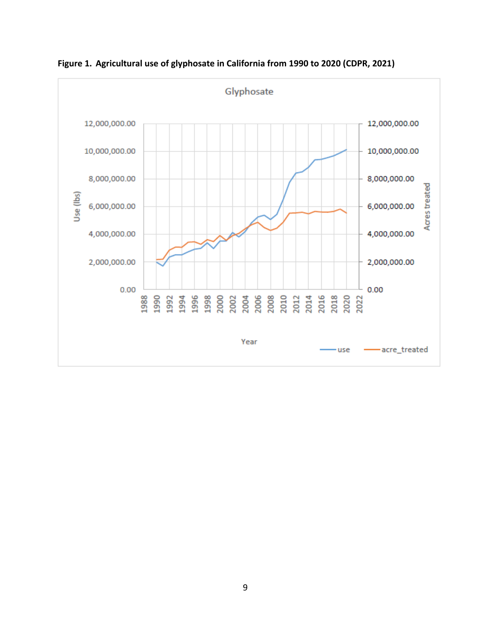

**Figure 1. Agricultural use of glyphosate in California from 1990 to 2020 (CDPR, 2021)**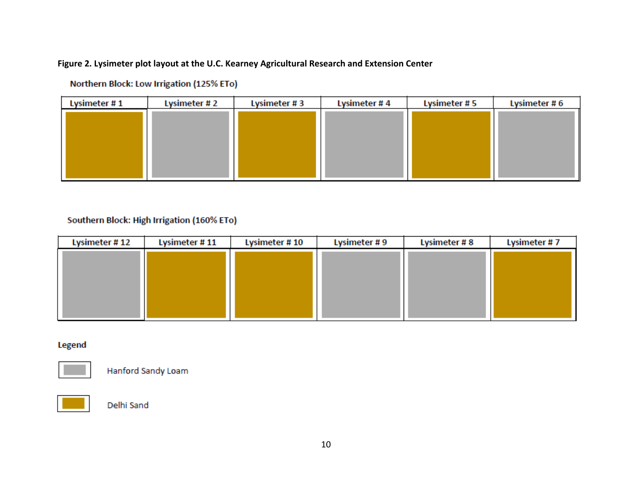### **Figure 2. Lysimeter plot layout at the U.C. Kearney Agricultural Research and Extension Center**

| Lysimeter # 1 | Lysimeter #2 | Lysimeter #3 | Lysimeter #4 | Lysimeter #5 | Lysimeter #6 |  |
|---------------|--------------|--------------|--------------|--------------|--------------|--|
|               |              |              |              |              |              |  |
|               |              |              |              |              |              |  |
|               |              |              |              |              |              |  |
|               |              |              |              |              |              |  |
|               |              |              |              |              |              |  |
|               |              |              |              |              |              |  |

Northern Block: Low Irrigation (125% ETo)

## Southern Block: High Irrigation (160% ETo)

| Lysimeter #11 | Lysimeter # 10 | Lysimeter #9 | Lysimeter #8 | Lysimeter #7 |  |
|---------------|----------------|--------------|--------------|--------------|--|
|               |                |              |              |              |  |
|               |                |              |              |              |  |
|               |                |              |              |              |  |
|               |                |              |              |              |  |
|               |                |              |              |              |  |
|               |                |              |              |              |  |
|               |                |              |              |              |  |

**Legend** 

![](_page_9_Picture_6.jpeg)

Hanford Sandy Loam

![](_page_9_Picture_8.jpeg)

Delhi Sand